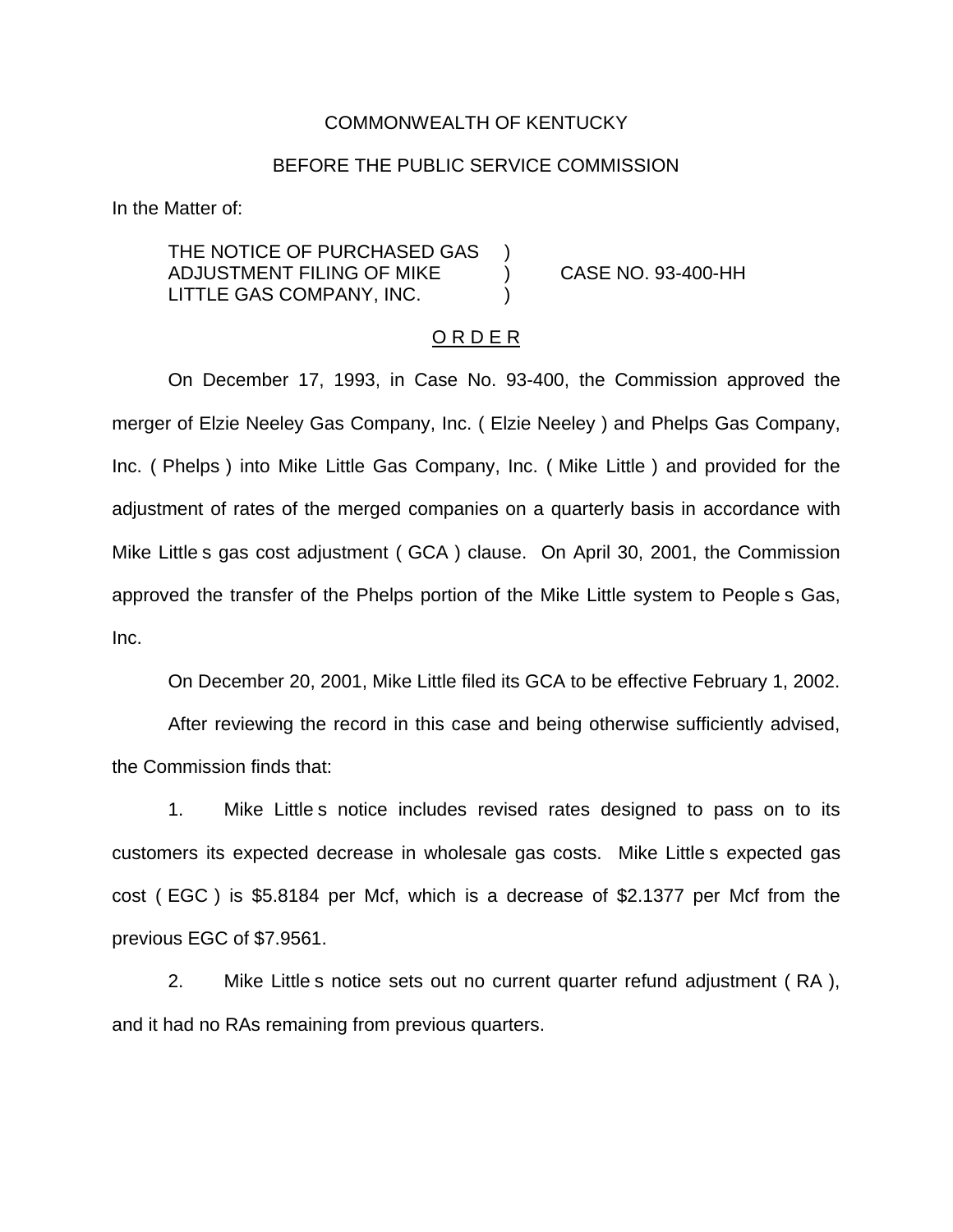#### COMMONWEALTH OF KENTUCKY

### BEFORE THE PUBLIC SERVICE COMMISSION

In the Matter of:

THE NOTICE OF PURCHASED GAS ADJUSTMENT FILING OF MIKE ) CASE NO. 93-400-HH LITTLE GAS COMPANY, INC.

#### O R D E R

On December 17, 1993, in Case No. 93-400, the Commission approved the merger of Elzie Neeley Gas Company, Inc. ( Elzie Neeley ) and Phelps Gas Company, Inc. ( Phelps ) into Mike Little Gas Company, Inc. ( Mike Little ) and provided for the adjustment of rates of the merged companies on a quarterly basis in accordance with Mike Little s gas cost adjustment ( GCA ) clause. On April 30, 2001, the Commission approved the transfer of the Phelps portion of the Mike Little system to People s Gas, Inc.

On December 20, 2001, Mike Little filed its GCA to be effective February 1, 2002.

After reviewing the record in this case and being otherwise sufficiently advised, the Commission finds that:

1. Mike Little s notice includes revised rates designed to pass on to its customers its expected decrease in wholesale gas costs. Mike Little s expected gas cost ( EGC ) is \$5.8184 per Mcf, which is a decrease of \$2.1377 per Mcf from the previous EGC of \$7.9561.

2. Mike Little s notice sets out no current quarter refund adjustment ( RA ), and it had no RAs remaining from previous quarters.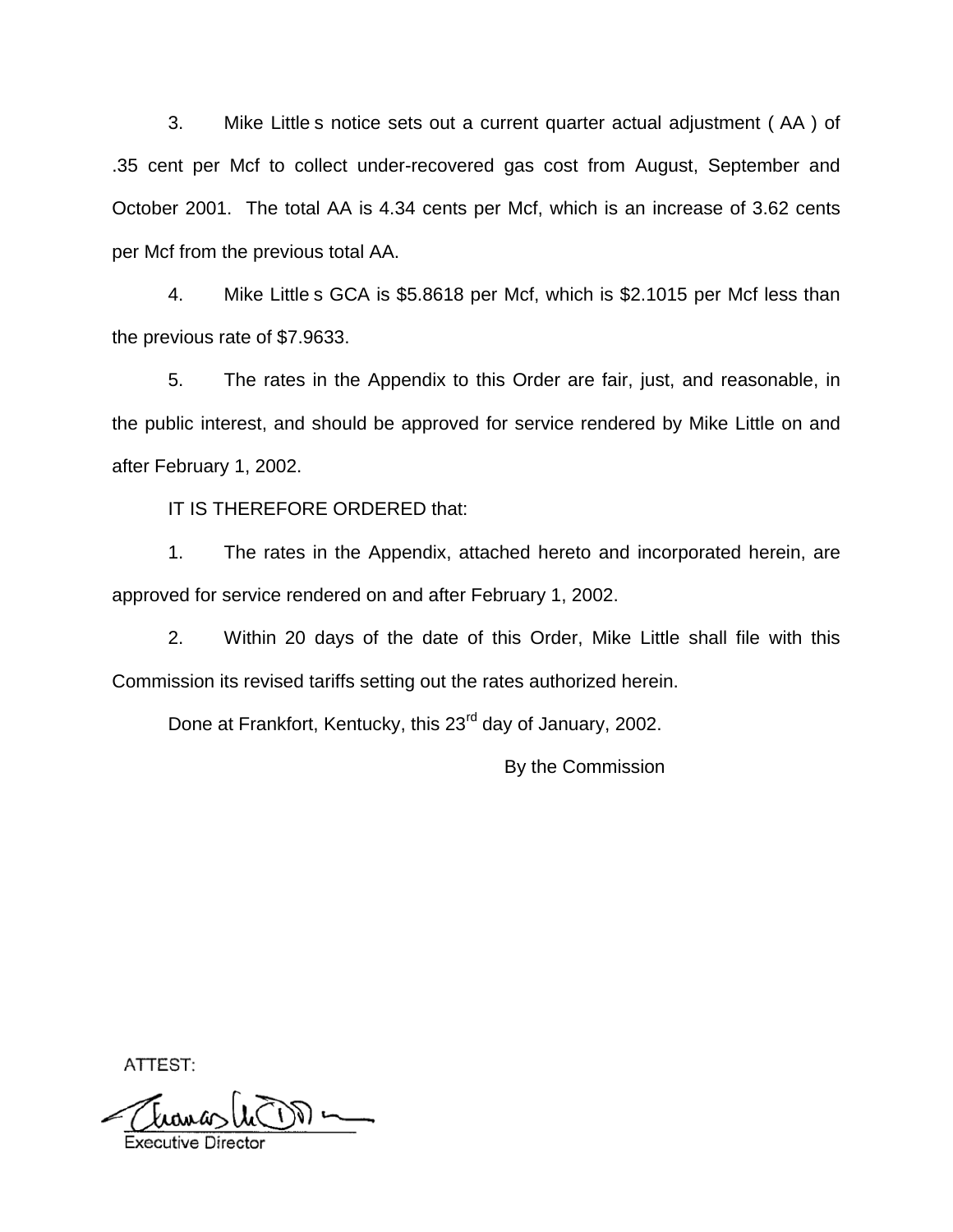3. Mike Little s notice sets out a current quarter actual adjustment ( AA ) of .35 cent per Mcf to collect under-recovered gas cost from August, September and October 2001. The total AA is 4.34 cents per Mcf, which is an increase of 3.62 cents per Mcf from the previous total AA.

4. Mike Little s GCA is \$5.8618 per Mcf, which is \$2.1015 per Mcf less than the previous rate of \$7.9633.

5. The rates in the Appendix to this Order are fair, just, and reasonable, in the public interest, and should be approved for service rendered by Mike Little on and after February 1, 2002.

IT IS THEREFORE ORDERED that:

1. The rates in the Appendix, attached hereto and incorporated herein, are approved for service rendered on and after February 1, 2002.

2. Within 20 days of the date of this Order, Mike Little shall file with this Commission its revised tariffs setting out the rates authorized herein.

Done at Frankfort, Kentucky, this 23<sup>rd</sup> day of January, 2002.

By the Commission

ATTEST:

Executive Direc